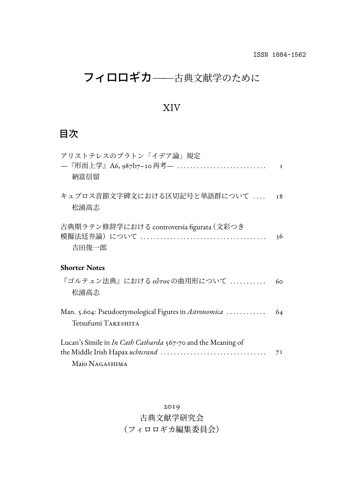## フィロロギカ––古典文献学のために

#### XIV

## 目次

| アリストテレスのプラトン「イデア論」規定<br>納富信留                                                   | $\mathbf I$ |
|--------------------------------------------------------------------------------|-------------|
| キュプロス音節文字碑文における区切記号と単語群について<br>松浦高志                                            | <b>18</b>   |
| 古典期ラテン修辞学における controversia figurata (文彩つき<br>吉田俊一郎                             | 36          |
| <b>Shorter Notes</b>                                                           |             |
| 『ゴルテュン法典』における oὖτos の曲用形について<br>松浦高志                                           | 60          |
| Man. 5.604: Pseudoetymological Figures in Astronomica<br>Tetsufumi TAKESHITA   | 64          |
| Lucan's Simile in In Cath Catharda 567-70 and the Meaning of<br>Maio NAGASHIMA | 7I          |

古典文献学研究会

### (フィロロギカ編集委員会)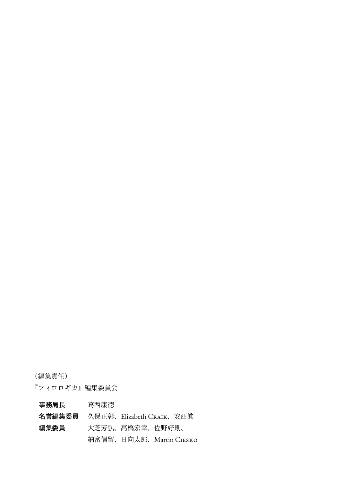(編集責任)

『フィロロギカ』編集委員会

| 事務局長                            | 葛西康徳 |                         |  |
|---------------------------------|------|-------------------------|--|
| 名誉編集委員 久保正彰、Elizabeth CRAIK、安西眞 |      |                         |  |
| 編集委員                            |      | 大芝芳弘、高橋宏幸、佐野好則、         |  |
|                                 |      | 納富信留、日向太郎、Martin CIESKO |  |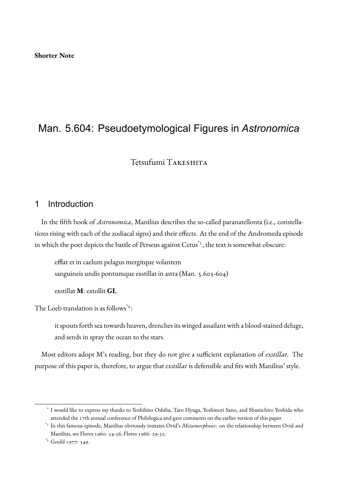## Man. 5.604: Pseudoetymological Figures in *Astronomica*

Tetsufumi Takeshita

#### 1 Introduction

In the fifth book of *Astronomica*, Manilius describes the so-called paranatellonta (i.e., constellations rising with each of the zodiacal signs) and their effects. At the end of the Andromeda episode in which the poet depicts the battle of Perseus against  $Cetus <sup>$x$</sup>$ , the text is somewhat obscure:

efflat et in caelum pelagus mergitque volantem sanguineis undis pontumque exstillat in astra (Man. 5.603-604)

exstillat **M**: extollit **GL**

The Loeb translation is as follows<sup> $z$ </sup>:

it spouts forth sea towards heaven, drenches its winged assailant with a blood-stained deluge, and sends in spray the ocean to the stars.

Most editors adopt M's reading, but they do not give a sufficient explanation of *exstillat*. The purpose of this paper is, therefore, to argue that *exstillat* is defensible and fits with Manilius' style.

<sup>\*</sup> I would like to express my thanks to Yoshihiro Oshiba, Taro Hyuga, Yoshinori Sano, and Shunichiro Yoshida who attended the 17th annual conference of Philologica and gave comments on the earlier version of this paper.

<sup>\*1</sup> In this famous episode, Manilius obviously imitates Ovid's *Metamorphoses*: on the relationship between Ovid and Manilius, see Flores 1960: 54-56; Flores 1966: 29-32.

<sup>\*2</sup> Goold 1977: 349.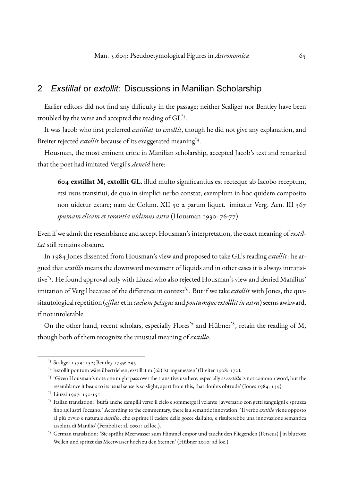#### 2 *Exstillat* or *extollit*: Discussions in Manilian Scholarship

Earlier editors did not find any difficulty in the passage; neither Scaliger nor Bentley have been troubled by the verse and accepted the reading of  $\operatorname{GL}^*$ <sup>3</sup>.

It was Jacob who first preferred *exstillat* to *extollit*, though he did not give any explanation, and Breiter rejected *extollit* because of its exaggerated meaning<sup>\*4</sup>.

Housman, the most eminent critic in Manilian scholarship, accepted Jacob's text and remarked that the poet had imitated Vergil's *Aeneid* here:

**604 exstillat M, extollit GL.** illud multo significantius est recteque ab Iacobo receptum, etsi usus transitiui, de quo in simplici uerbo constat, exemplum in hoc quidem composito non uidetur extare; nam de Colum. XII 50 2 parum liquet. imitatur Verg. Aen. III 567 *spumam elisam et rorantia uidimus astra* (Housman 1930: 76-77)

Even if we admit the resemblance and accept Housman's interpretation, the exact meaning of *exstillat* still remains obscure.

In 1984 Jones dissented from Housman's view and proposed to take GL's reading *extollit*: he argued that *exstillo* means the downward movement of liquids and in other cases it is always intransitive\*5. He found approval only with Liuzzi who also rejected Housman's view and denied Manilius' imitation of Vergil because of the difference in context<sup>\*6</sup>. But if we take *extollit* with Jones, the quasitautological repetition (*efflat* et in *caelum pelagus*and *pontumque extolllitin astra*) seems awkward, if not intolerable.

On the other hand, recent scholars, especially Flores<sup> $\tau$ </sup> and Hübner<sup>\*8</sup>, retain the reading of M, though both of them recognize the unusual meaning of *exstillo*.

<sup>\*3</sup> Scaliger 1579: 132; Bentley 1739: 295.

<sup>\*4</sup> 'extollit pontum wäre übertrieben; exstillat m (*sic*) ist angemessen' (Breiter 1908: 172).

<sup>\*5</sup> 'Given Housman's note one might pass over the transitive use here, especially as*exstillo*is not common word, but the resemblance it bears to its usual sense is so slight, apart from this, that doubts obtrude' (Jones 1984: 139).

<sup>\*6</sup> Liuzzi 1997: 150-151.

<sup>\*7</sup> Italian translation: 'buffa anche zampilli verso il cielo e sommerge il volante | avversario con getti sanguigni e spruzza fino agli astri l'oceano.' According to the commentary, there is a semantic innovation: 'Il verbo *exstillo* viene opposto al più ovvio e naturale *destillo*, che esprime il cadere delle gocce dall'alto, e risulterebbe una innovazione semantica assoluta di Manilio' (Feraboli et al. 2001: ad loc.).

<sup>\*8</sup> German translation: 'Sie sprüht Meerwasser zum Himmel empor und taucht den Fliegenden (Perseus) | in blutrote Wellen und spritzt das Meerwasser hoch zu den Sternen' (Hübner 2010: ad loc.).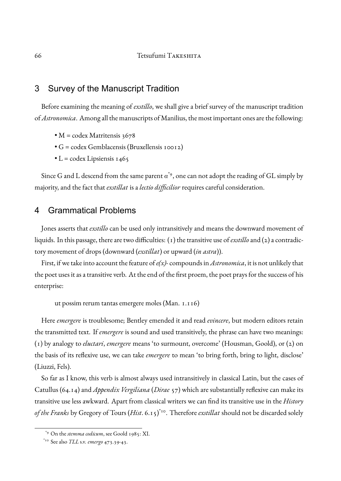#### 3 Survey of the Manuscript Tradition

Before examining the meaning of *exstillo*, we shall give a brief survey of the manuscript tradition of*Astronomica*. Among all the manuscripts of Manilius, the most important ones are the following:

- $M = \text{codex Matritensis } 3678$
- G = codex Gemblacensis (Bruxellensis 10012)
- $\bullet$  L = codex Lipsiensis 1465

Since G and L descend from the same parent  $a^{\ast}$ 9, one can not adopt the reading of GL simply by majority, and the fact that *exstillat* is a *lectio difficilior* requires careful consideration.

#### 4 Grammatical Problems

Jones asserts that *exstillo* can be used only intransitively and means the downward movement of liquids. In this passage, there are two difficulties: (1) the transitive use of *exstillo*and (2) a contradictory movement of drops (downward (*exstillat*) or upward (*in astra*)).

First, if we take into account the feature of*e(x)-* compounds in *Astronomica*, it is not unlikely that the poet uses it as a transitive verb. At the end of the first proem, the poet prays for the success of his enterprise:

ut possim rerum tantas emergere moles (Man. 1.116)

Here *emergere* is troublesome; Bentley emended it and read *evincere*, but modern editors retain the transmitted text. If *emergere* is sound and used transitively, the phrase can have two meanings: (1) by analogy to *eluctari*, *emergere* means 'to surmount, overcome' (Housman, Goold), or (2) on the basis of its reflexive use, we can take *emergere* to mean 'to bring forth, bring to light, disclose' (Liuzzi, Fels).

So far as I know, this verb is almost always used intransitively in classical Latin, but the cases of Catullus (64.14) and *Appendix Vergiliana* (*Dirae* 57) which are substantially reflexive can make its transitive use less awkward. Apart from classical writers we can find its transitive use in the *History of the Franks* by Gregory of Tours (*Hist*. 6.15)\*10. Therefore *exstillat* should not be discarded solely

<sup>\*9</sup> On the *stemma codicum*, see Goold 1985: XI.

<sup>\*10</sup> See also *TLL* s.v. *emergo* 473.39-43.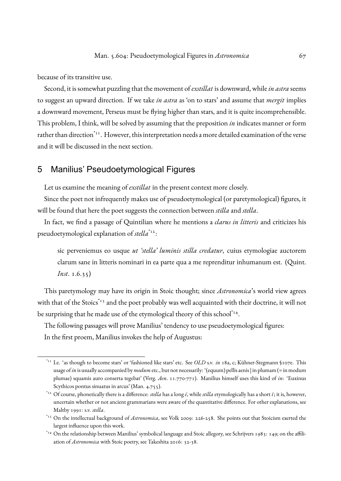because of its transitive use.

Second, it is somewhat puzzling that the movement of *exstillat* is downward, while*in astra* seems to suggest an upward direction. If we take *in astra* as 'on to stars' and assume that *mergit* implies a downward movement, Perseus must be flying higher than stars, and it is quite incomprehensible. This problem, I think, will be solved by assuming that the preposition *in* indicates manner or form rather than direction<sup>\*11</sup>. However, this interpretation needs a more detailed examination of the verse and it will be discussed in the next section.

#### 5 Manilius' Pseudoetymological Figures

Let us examine the meaning of *exstillat* in the present context more closely.

Since the poet not infrequently makes use of pseudoetymological (or paretymological) figures, it will be found that here the poet suggests the connection between *stilla* and *stella*.

In fact, we find a passage of Quintilian where he mentions a *clarus in litteris* and criticizes his pseudoetymological explanation of *stella*\*12:

sic perveniemus eo usque *ut 'stella' luminis stilla credatur*, cuius etymologiae auctorem clarum sane in litteris nominari in ea parte qua a me reprenditur inhumanum est. (Quint. *Inst*. 1.6.35)

This paretymology may have its origin in Stoic thought; since *Astronomica*'s world view agrees with that of the Stoics $^{\dagger_{13}}$  and the poet probably was well acquainted with their doctrine, it will not be surprising that he made use of the etymological theory of this school\*14.

The following passages will prove Manilius' tendency to use pseudoetymological figures: In the first proem, Manilius invokes the help of Augustus:

<sup>\*11</sup> I.e. 'as though to become stars' or 'fashioned like stars' etc. See *OLD* s.v. *in* 18a, c; Kühner-Stegmann §107e. This usage of*in* is usually accompanied by*modum*etc., but not necessarily: '(equum) pellis aenis | in plumam (= in modum plumae) squamis auro conserta tegebat' (Verg. *Aen*. 11.770-771). Manilius himself uses this kind of *in*: 'Euxinus Scythicos pontus sinuatus in arcus' (Man. 4.755).

<sup>\*12</sup> Of course, phonetically there is a difference: *stella* has a long *ē*, while *stilla* etymologically has a short *ĭ*; it is, however, uncertain whether or not ancient grammarians were aware of the quantitative difference. For other explanations, see Maltby 1991: s.v. *stella*.

<sup>\*13</sup> On the intellectual background of *Astronomica*, see Volk 2009: 226-258. She points out that Stoicism exerted the largest influence upon this work.

<sup>\*14</sup> On the relationship between Manilius' symbolical language and Stoic allegory, see Schrijvers 1983: 149; on the affiliation of *Astronomica* with Stoic poetry, see Takeshita 2016: 32-38.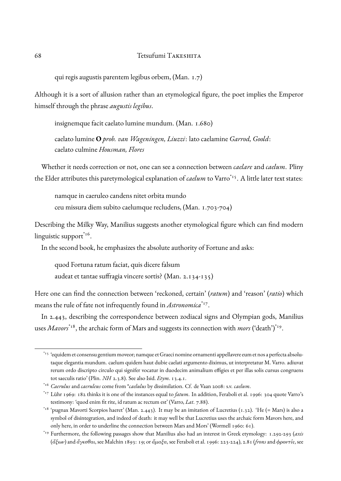qui regis augustis parentem legibus orbem, (Man. 1.7)

Although it is a sort of allusion rather than an etymological figure, the poet implies the Emperor himself through the phrase *augustis legibus*.

insignemque facit caelato lumine mundum. (Man. 1.680)

caelato lumine **O** *prob. van Wageningen, Liuzzi*: lato caelamine *Garrod, Goold*: caelato culmine *Housman, Flores*

Whether it needs correction or not, one can see a connection between *caelare* and *caelum*. Pliny the Elder attributes this paretymological explanation of *caelum* to Varro<sup>\*15</sup>. A little later text states:

namque in caeruleo candens nitet orbita mundo ceu missura diem subito caelumque recludens, (Man. 1.703-704)

Describing the Milky Way, Manilius suggests another etymological figure which can find modern linguistic support\*<sup>16</sup>.

In the second book, he emphasizes the absolute authority of Fortune and asks:

quod Fortuna ratum faciat, quis dicere falsum audeat et tantae suffragia vincere sortis? (Man. 2.134-135)

Here one can find the connection between 'reckoned, certain' (*ratum*) and 'reason' (*ratio*) which means the rule of fate not infrequently found in *Astronomica*\*17 .

In 2.443, describing the correspondence between zodiacal signs and Olympian gods, Manilius uses *Mavors*\*18, the archaic form of Mars and suggests its connection with *mors* ('death')\*19 .

<sup>\*15</sup> 'equidem et consensu gentium moveor; namque et Graeci nomine ornamenti appellavere eum et nos a perfecta absolutaque elegantia mundum. caelum quidem haut dubie caelati argumento diximus, ut interpretatur M. Varro. adiuvat rerum ordo discripto circulo qui signifer vocatur in duodecim animalium effigies et per illas solis cursus congruens tot saeculis ratio' (Plin. *NH* 2.3.8). See also Isid. *Etym*. 13.4.1.

<sup>\*16</sup> *Caerulus* and *caeruleus* come from \**caelulus* by dissimilation. Cf. de Vaan 2008: s.v. *caelum*.

<sup>\*17</sup> Lühr 1969: 182 thinks it is one of the instances equal to *fatum*. In addition, Feraboli et al. 1996: 304 quote Varro's testimony: 'quod enim fit rite, id ratum ac rectum est' (Varro, *Lat*. 7.88).

<sup>\*18</sup> 'pugnax Mavorti Scorpios haeret' (Man. 2.443). It may be an imitation of Lucretius (1.32). 'He (= Mars) is also a symbol of disintegration, and indeed of death: it may well be that Lucretius uses the archaic form Mavors here, and only here, in order to underline the connection between Mars and Mors' (Wormell 1960: 61).

<sup>\*19</sup> Furthermore, the following passages show that Manilius also had an interest in Greek etymology: 1.292-293 (*axis* (ἄξων) and ἄγεσθαι, see Malchin 1893: 19; or ἅμαξα, see Feraboli et al. 1996: 223-224), 2.81 (*frons*and φροντίς, see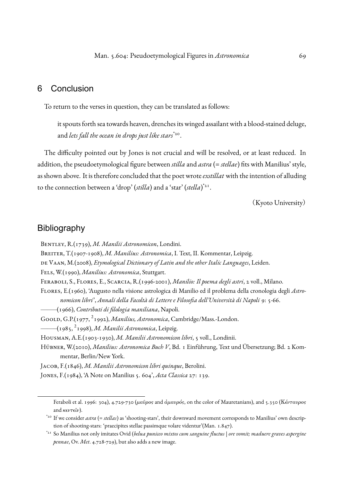#### 6 Conclusion

To return to the verses in question, they can be translated as follows:

it spouts forth sea towards heaven, drenches its winged assailant with a blood-stained deluge, and *lets fall the ocean in drops just like stars*\*20 .

The difficulty pointed out by Jones is not crucial and will be resolved, or at least reduced. In addition, the pseudoetymological figure between *stilla* and *astra* (= *stellae*) fits with Manilius' style, as shown above. It is therefore concluded that the poet wrote*exstillat* with the intention of alluding to the connection between a 'drop' (*stilla*) and a 'star' (*stella*) \*21 .

(Kyoto University)

#### Bibliography

Bentley, R.(1739), *M. Manilii Astronomicon*, Londini.

Breiter, T.(1907-1908), *M. Manilius: Astronomica*, I. Text, II. Kommentar, Leipzig.

de Vaan, M.(2008), *Etymological Dictionary of Latin and the other Italic Languages*, Leiden.

Fels, W.(1990), *Manilius: Astronomica*, Stuttgart.

Feraboli, S., Flores, E., Scarcia, R.(1996-2001), *Manilio: Il poema degli astri*, 2 voll., Milano.

Flores, E.(1960), 'Augusto nella visione astrologica di Manilio ed il problema della cronologia degli *Astronomicon libri*', *Annali della Facoltà di Lettere e Filosofia dell'Università di Napoli* 9: 5-66.

——–(1966), *Contributi di filologia maniliana*, Napoli.

Goold, G.P.(1977, <sup>2</sup> 1992), *Manilius, Astronomica*, Cambridge/Mass.-London.

——–(1985, <sup>2</sup> 1998), *M. Manilii Astronomica*, Leipzig.

Housman, A.E.(1903-1930), *M. Manilii Astronomicon libri*, 5 voll., Londinii.

Hübner, W.(2010), *Manilius: Astronomica Buch V*, Bd. 1 Einführung, Text und Übersetzung; Bd. 2 Kommentar, Berlin/New York.

Jacob, F.(1846), *M. Manilii Astronomicon libri quinque*, Berolini.

Jones, F.(1984), 'A Note on Manilius 5. 604', *Acta Classica* 27: 139.

Feraboli et al. 1996: 304), 4.729-730 (μαῦρος and ἀμαυρός, on the color of Mauretanians), and 5.350 (Κένταυρος and  $\kappa \epsilon \nu \tau \epsilon \hat{\iota} \nu$ ).

\*20 If we consider *astra* (= *stellas*) as 'shooting-stars', their downward movement corresponds to Manilius' own description of shooting-stars: 'praecipites stellae passimque volare videntur'(Man. 1.847).

<sup>\*21</sup> So Manilius not only imitates Ovid (*belua puniceo mixtos cum sanguine fluctus* | *ore vomit; maduere graves aspergine pennae*, Ov. *Met*. 4.728-729), but also adds a new image.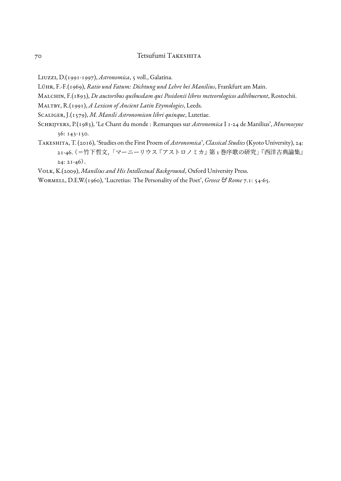#### 70 Tetsufumi Takeshita

Liuzzi, D.(1991-1997), *Astronomica*, 5 voll., Galatina.

Lühr, F.-F.(1969), *Ratio und Fatum: Dichtung und Lehre bei Manilius*, Frankfurt am Main.

Malchin, F.(1893), *De auctoribus quibusdam qui Posidonii libros meteorologicos adhibuerunt*, Rostochii.

Maltby, R.(1991), *A Lexicon of Ancient Latin Etymologies*, Leeds.

Scaliger, J.(1579), *M. Manili Astronomicon libri quinque*, Lutetiae.

- Schrijvers, P.(1983), 'Le Chant du monde : Remarques sur *Astronomica* I 1-24 de Manilius', *Mnemosyne* 36: 143-150.
- Takeshita, T. (2016), 'Studies on the First Proem of *Astronomica*', *Classical Studies* (Kyoto University), 24: 21-46.(=竹下哲文,「マーニーリウス『アストロノミカ』第1巻序歌の研究」『西洋古典論集』  $24: 21-46$ .

Volk, K.(2009), *Manilius and His Intellectual Background*, Oxford University Press.

Wormell, D.E.W.(1960), 'Lucretius: The Personality of the Poet', *Greece & Rome* 7.1: 54-65.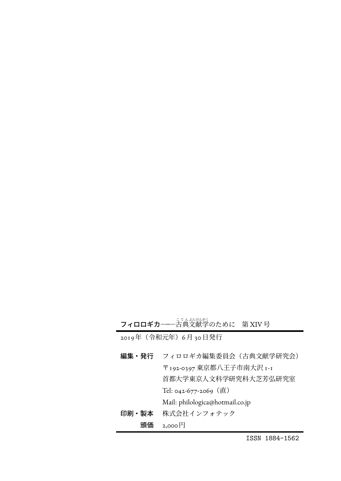**フィロロギカ――**古典文献学のために 第 XIV 号

2019年(令和元年)6月30日発行

| 編集・発行 | フィロロギカ編集委員会 (古典文献学研究会)          |
|-------|---------------------------------|
|       | 〒192-0397 東京都八王子市南大沢 I-I        |
|       | 首都大学東京人文科学研究科大芝芳弘研究室            |
|       | Tel: 042-677-2069 (直)           |
|       | Mail: philologica@hotmail.co.jp |
| 印刷・製本 | 株式会社インフォテック                     |
| 頒価    | $2,000$ H                       |